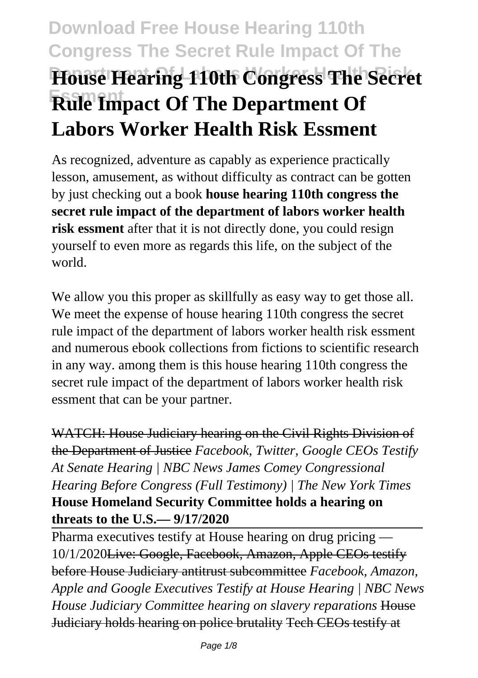# **Download Free House Hearing 110th Congress The Secret Rule Impact Of The House Hearing 110th Congress The Secret Essment Rule Impact Of The Department Of Labors Worker Health Risk Essment**

As recognized, adventure as capably as experience practically lesson, amusement, as without difficulty as contract can be gotten by just checking out a book **house hearing 110th congress the secret rule impact of the department of labors worker health risk essment** after that it is not directly done, you could resign yourself to even more as regards this life, on the subject of the world.

We allow you this proper as skillfully as easy way to get those all. We meet the expense of house hearing 110th congress the secret rule impact of the department of labors worker health risk essment and numerous ebook collections from fictions to scientific research in any way. among them is this house hearing 110th congress the secret rule impact of the department of labors worker health risk essment that can be your partner.

WATCH: House Judiciary hearing on the Civil Rights Division of the Department of Justice *Facebook, Twitter, Google CEOs Testify At Senate Hearing | NBC News James Comey Congressional Hearing Before Congress (Full Testimony) | The New York Times* **House Homeland Security Committee holds a hearing on threats to the U.S.— 9/17/2020**

Pharma executives testify at House hearing on drug pricing — 10/1/2020Live: Google, Facebook, Amazon, Apple CEOs testify before House Judiciary antitrust subcommittee *Facebook, Amazon, Apple and Google Executives Testify at House Hearing | NBC News House Judiciary Committee hearing on slavery reparations* House Judiciary holds hearing on police brutality Tech CEOs testify at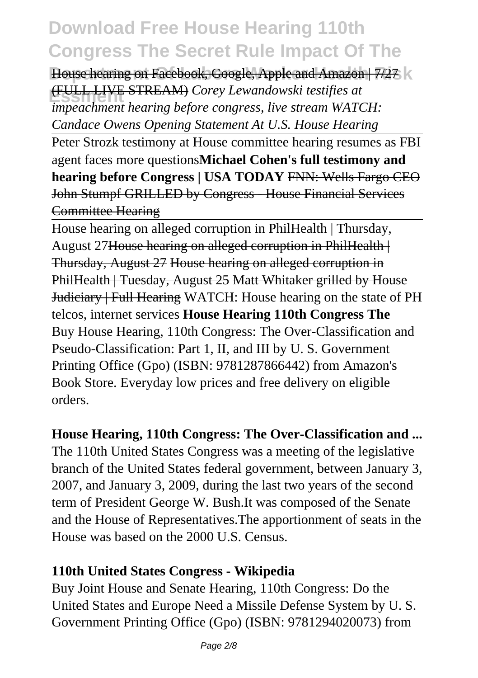House hearing on Facebook, Google, Apple and Amazon | 7/27 | **Essment** (FULL LIVE STREAM) *Corey Lewandowski testifies at impeachment hearing before congress, live stream WATCH: Candace Owens Opening Statement At U.S. House Hearing*

Peter Strozk testimony at House committee hearing resumes as FBI agent faces more questions**Michael Cohen's full testimony and hearing before Congress | USA TODAY FNN: Wells Fargo CEO** John Stumpf GRILLED by Congress - House Financial Services Committee Hearing

House hearing on alleged corruption in PhilHealth | Thursday, August 27House hearing on alleged corruption in PhilHealth | Thursday, August 27 House hearing on alleged corruption in PhilHealth | Tuesday, August 25 Matt Whitaker grilled by House Judiciary | Full Hearing WATCH: House hearing on the state of PH telcos, internet services **House Hearing 110th Congress The** Buy House Hearing, 110th Congress: The Over-Classification and Pseudo-Classification: Part 1, II, and III by U. S. Government Printing Office (Gpo) (ISBN: 9781287866442) from Amazon's Book Store. Everyday low prices and free delivery on eligible orders.

#### **House Hearing, 110th Congress: The Over-Classification and ...**

The 110th United States Congress was a meeting of the legislative branch of the United States federal government, between January 3, 2007, and January 3, 2009, during the last two years of the second term of President George W. Bush.It was composed of the Senate and the House of Representatives.The apportionment of seats in the House was based on the 2000 U.S. Census.

#### **110th United States Congress - Wikipedia**

Buy Joint House and Senate Hearing, 110th Congress: Do the United States and Europe Need a Missile Defense System by U. S. Government Printing Office (Gpo) (ISBN: 9781294020073) from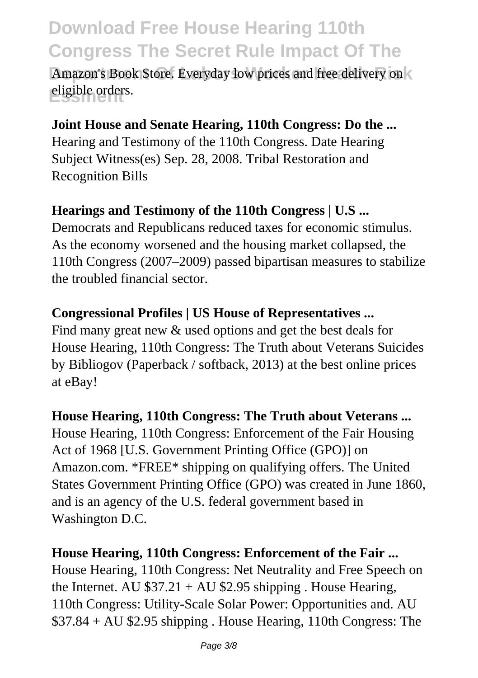Amazon's Book Store. Everyday low prices and free delivery on **Essment** eligible orders.

#### **Joint House and Senate Hearing, 110th Congress: Do the ...**

Hearing and Testimony of the 110th Congress. Date Hearing Subject Witness(es) Sep. 28, 2008. Tribal Restoration and Recognition Bills

#### **Hearings and Testimony of the 110th Congress | U.S ...**

Democrats and Republicans reduced taxes for economic stimulus. As the economy worsened and the housing market collapsed, the 110th Congress (2007–2009) passed bipartisan measures to stabilize the troubled financial sector.

#### **Congressional Profiles | US House of Representatives ...**

Find many great new  $\&$  used options and get the best deals for House Hearing, 110th Congress: The Truth about Veterans Suicides by Bibliogov (Paperback / softback, 2013) at the best online prices at eBay!

#### **House Hearing, 110th Congress: The Truth about Veterans ...**

House Hearing, 110th Congress: Enforcement of the Fair Housing Act of 1968 [U.S. Government Printing Office (GPO)] on Amazon.com. \*FREE\* shipping on qualifying offers. The United States Government Printing Office (GPO) was created in June 1860, and is an agency of the U.S. federal government based in Washington D.C.

#### **House Hearing, 110th Congress: Enforcement of the Fair ...**

House Hearing, 110th Congress: Net Neutrality and Free Speech on the Internet. AU  $$37.21 + AU $2.95$  shipping. House Hearing, 110th Congress: Utility-Scale Solar Power: Opportunities and. AU \$37.84 + AU \$2.95 shipping . House Hearing, 110th Congress: The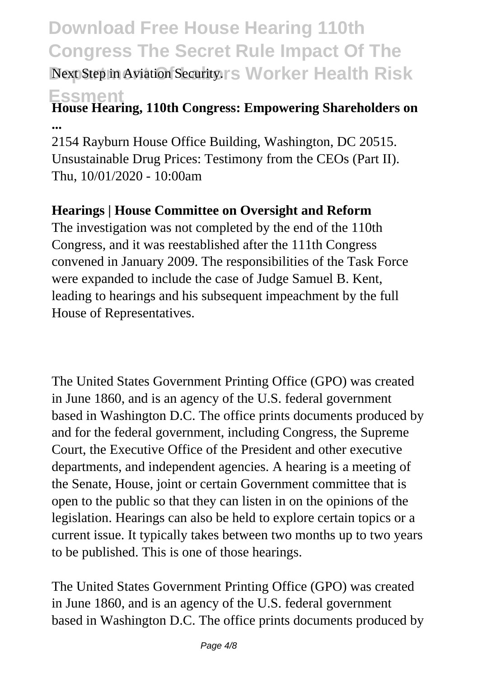### **Download Free House Hearing 110th Congress The Secret Rule Impact Of The Next Step in Aviation Security.rs Worker Health Risk**

#### **Essment House Hearing, 110th Congress: Empowering Shareholders on ...**

2154 Rayburn House Office Building, Washington, DC 20515. Unsustainable Drug Prices: Testimony from the CEOs (Part II). Thu, 10/01/2020 - 10:00am

#### **Hearings | House Committee on Oversight and Reform**

The investigation was not completed by the end of the 110th Congress, and it was reestablished after the 111th Congress convened in January 2009. The responsibilities of the Task Force were expanded to include the case of Judge Samuel B. Kent, leading to hearings and his subsequent impeachment by the full House of Representatives.

The United States Government Printing Office (GPO) was created in June 1860, and is an agency of the U.S. federal government based in Washington D.C. The office prints documents produced by and for the federal government, including Congress, the Supreme Court, the Executive Office of the President and other executive departments, and independent agencies. A hearing is a meeting of the Senate, House, joint or certain Government committee that is open to the public so that they can listen in on the opinions of the legislation. Hearings can also be held to explore certain topics or a current issue. It typically takes between two months up to two years to be published. This is one of those hearings.

The United States Government Printing Office (GPO) was created in June 1860, and is an agency of the U.S. federal government based in Washington D.C. The office prints documents produced by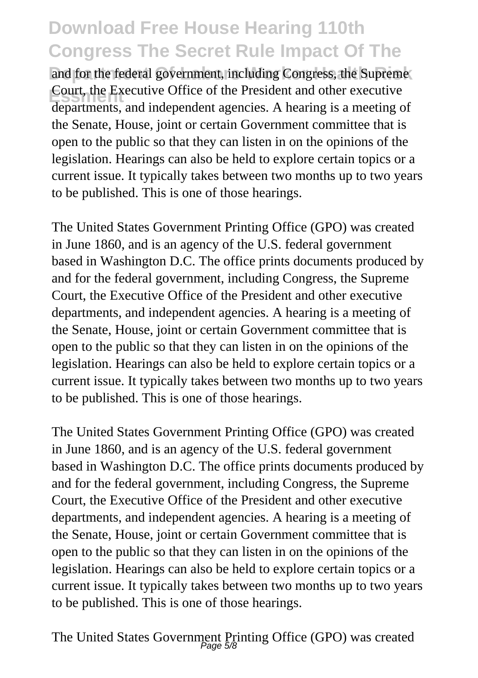and for the federal government, including Congress, the Supreme **Executive Office of the President and other executive**<br>departments and independent exercise. A heaving is a meeting departments, and independent agencies. A hearing is a meeting of the Senate, House, joint or certain Government committee that is open to the public so that they can listen in on the opinions of the legislation. Hearings can also be held to explore certain topics or a current issue. It typically takes between two months up to two years to be published. This is one of those hearings.

The United States Government Printing Office (GPO) was created in June 1860, and is an agency of the U.S. federal government based in Washington D.C. The office prints documents produced by and for the federal government, including Congress, the Supreme Court, the Executive Office of the President and other executive departments, and independent agencies. A hearing is a meeting of the Senate, House, joint or certain Government committee that is open to the public so that they can listen in on the opinions of the legislation. Hearings can also be held to explore certain topics or a current issue. It typically takes between two months up to two years to be published. This is one of those hearings.

The United States Government Printing Office (GPO) was created in June 1860, and is an agency of the U.S. federal government based in Washington D.C. The office prints documents produced by and for the federal government, including Congress, the Supreme Court, the Executive Office of the President and other executive departments, and independent agencies. A hearing is a meeting of the Senate, House, joint or certain Government committee that is open to the public so that they can listen in on the opinions of the legislation. Hearings can also be held to explore certain topics or a current issue. It typically takes between two months up to two years to be published. This is one of those hearings.

The United States Government Printing Office (GPO) was created Page 5/8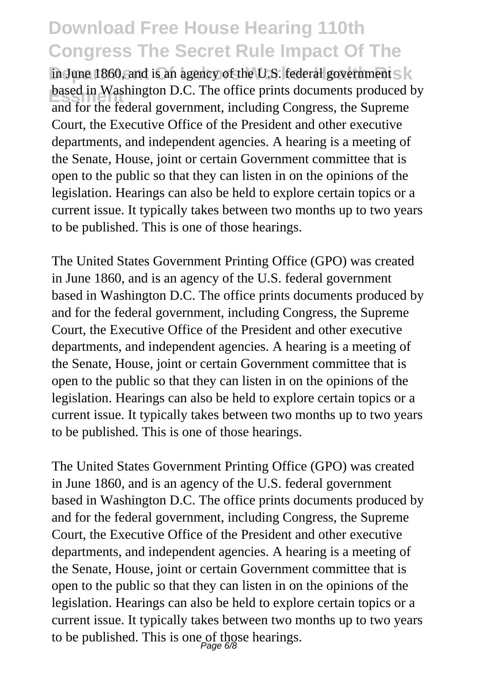in June 1860, and is an agency of the U.S. federal government S **based in Washington D.C.** The office prints documents produced by and for the federal government, including Congress, the Supreme Court, the Executive Office of the President and other executive departments, and independent agencies. A hearing is a meeting of the Senate, House, joint or certain Government committee that is open to the public so that they can listen in on the opinions of the legislation. Hearings can also be held to explore certain topics or a current issue. It typically takes between two months up to two years to be published. This is one of those hearings.

The United States Government Printing Office (GPO) was created in June 1860, and is an agency of the U.S. federal government based in Washington D.C. The office prints documents produced by and for the federal government, including Congress, the Supreme Court, the Executive Office of the President and other executive departments, and independent agencies. A hearing is a meeting of the Senate, House, joint or certain Government committee that is open to the public so that they can listen in on the opinions of the legislation. Hearings can also be held to explore certain topics or a current issue. It typically takes between two months up to two years to be published. This is one of those hearings.

The United States Government Printing Office (GPO) was created in June 1860, and is an agency of the U.S. federal government based in Washington D.C. The office prints documents produced by and for the federal government, including Congress, the Supreme Court, the Executive Office of the President and other executive departments, and independent agencies. A hearing is a meeting of the Senate, House, joint or certain Government committee that is open to the public so that they can listen in on the opinions of the legislation. Hearings can also be held to explore certain topics or a current issue. It typically takes between two months up to two years to be published. This is one of those hearings.<br> $P_{\text{age 6/8}}$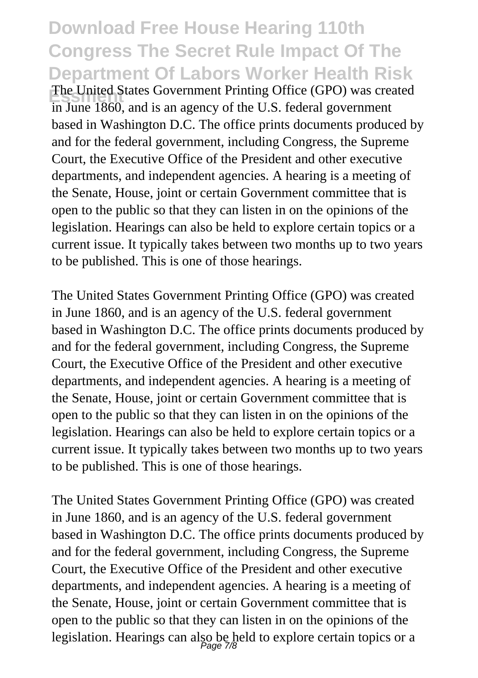### **Download Free House Hearing 110th Congress The Secret Rule Impact Of The Department Of Labors Worker Health Risk Essment** The United States Government Printing Office (GPO) was created

in June 1860, and is an agency of the U.S. federal government based in Washington D.C. The office prints documents produced by and for the federal government, including Congress, the Supreme Court, the Executive Office of the President and other executive departments, and independent agencies. A hearing is a meeting of the Senate, House, joint or certain Government committee that is open to the public so that they can listen in on the opinions of the legislation. Hearings can also be held to explore certain topics or a current issue. It typically takes between two months up to two years to be published. This is one of those hearings.

The United States Government Printing Office (GPO) was created in June 1860, and is an agency of the U.S. federal government based in Washington D.C. The office prints documents produced by and for the federal government, including Congress, the Supreme Court, the Executive Office of the President and other executive departments, and independent agencies. A hearing is a meeting of the Senate, House, joint or certain Government committee that is open to the public so that they can listen in on the opinions of the legislation. Hearings can also be held to explore certain topics or a current issue. It typically takes between two months up to two years to be published. This is one of those hearings.

The United States Government Printing Office (GPO) was created in June 1860, and is an agency of the U.S. federal government based in Washington D.C. The office prints documents produced by and for the federal government, including Congress, the Supreme Court, the Executive Office of the President and other executive departments, and independent agencies. A hearing is a meeting of the Senate, House, joint or certain Government committee that is open to the public so that they can listen in on the opinions of the legislation. Hearings can also be held to explore certain topics or a Page 7/8